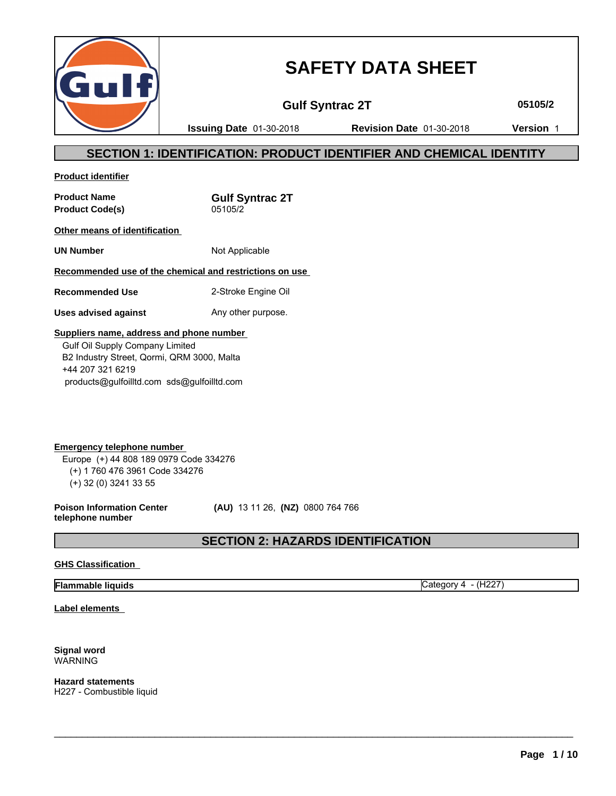

# **SAFETY DATA SHEET**

**Gulf Syntrac 2T 05105/2**

**Issuing Date** 01-30-2018 **Revision Date** 01-30-2018 **Version** 1

# **SECTION 1: IDENTIFICATION: PRODUCT IDENTIFIER AND CHEMICAL IDENTITY**

**Product identifier**

**Product Name**<br> **Product Code(s)**<br> **Product Code(s)**<br> **Gulf Syntrac 2T Product Code(s)** 

**Other means of identification** 

**UN Number** Not Applicable

### **Recommended use of the chemical and restrictions on use**

**Recommended Use** 2-Stroke Engine Oil

**Uses advised against** Any other purpose.

#### **Suppliers name, address and phone number**

 Gulf Oil Supply Company Limited B2 Industry Street, Qormi, QRM 3000, Malta +44 207 321 6219 products@gulfoilltd.com sds@gulfoilltd.com

**Emergency telephone number**  Europe (+) 44 808 189 0979 Code 334276 (+) 1 760 476 3961 Code 334276 (+) 32 (0) 3241 33 55

**Poison Information Center telephone number**

 **(AU)** 13 11 26, **(NZ)** 0800 764 766

# **SECTION 2: HAZARDS IDENTIFICATION**

 $\_$  ,  $\_$  ,  $\_$  ,  $\_$  ,  $\_$  ,  $\_$  ,  $\_$  ,  $\_$  ,  $\_$  ,  $\_$  ,  $\_$  ,  $\_$  ,  $\_$  ,  $\_$  ,  $\_$  ,  $\_$  ,  $\_$  ,  $\_$  ,  $\_$  ,  $\_$  ,  $\_$  ,  $\_$  ,  $\_$  ,  $\_$  ,  $\_$  ,  $\_$  ,  $\_$  ,  $\_$  ,  $\_$  ,  $\_$  ,  $\_$  ,  $\_$  ,  $\_$  ,  $\_$  ,  $\_$  ,  $\_$  ,  $\_$  ,

#### **GHS Classification**

### **Flammable liquids** Category 4 - (H227)

**Label elements** 

#### **Signal word** WARNING

**Hazard statements** H227 - Combustible liquid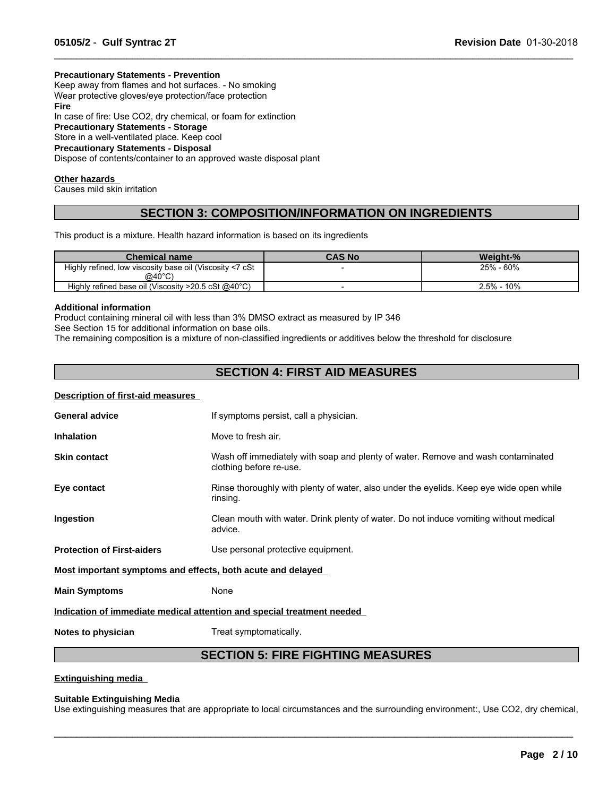#### **Precautionary Statements - Prevention**

Keep away from flames and hot surfaces. - No smoking Wear protective gloves/eye protection/face protection **Fire** In case of fire: Use CO2, dry chemical, or foam for extinction **Precautionary Statements - Storage** Store in a well-ventilated place. Keep cool **Precautionary Statements - Disposal** Dispose of contents/container to an approved waste disposal plant

#### **Other hazards**

Causes mild skin irritation

# **SECTION 3: COMPOSITION/INFORMATION ON INGREDIENTS**

 $\_$  ,  $\_$  ,  $\_$  ,  $\_$  ,  $\_$  ,  $\_$  ,  $\_$  ,  $\_$  ,  $\_$  ,  $\_$  ,  $\_$  ,  $\_$  ,  $\_$  ,  $\_$  ,  $\_$  ,  $\_$  ,  $\_$  ,  $\_$  ,  $\_$  ,  $\_$  ,  $\_$  ,  $\_$  ,  $\_$  ,  $\_$  ,  $\_$  ,  $\_$  ,  $\_$  ,  $\_$  ,  $\_$  ,  $\_$  ,  $\_$  ,  $\_$  ,  $\_$  ,  $\_$  ,  $\_$  ,  $\_$  ,  $\_$  ,

This product is a mixture. Health hazard information is based on its ingredients

| <b>Chemical name</b>                                               | CAS No | Weight-%        |
|--------------------------------------------------------------------|--------|-----------------|
| Highly refined, low viscosity base oil (Viscosity <7 cSt<br>@40°C) |        | 25% - 60%       |
| Highly refined base oil (Viscosity $>20.5$ cSt @40 $^{\circ}$ C)   |        | 10%<br>$2.5% -$ |

#### **Additional information**

Product containing mineral oil with less than 3% DMSO extract as measured by IP 346 See Section 15 for additional information on base oils.

The remaining composition is a mixture of non-classified ingredients or additives below the threshold for disclosure

# **SECTION 4: FIRST AID MEASURES**

#### **Description of first-aid measures**

| <b>General advice</b>                                       | If symptoms persist, call a physician.                                                                      |
|-------------------------------------------------------------|-------------------------------------------------------------------------------------------------------------|
| <b>Inhalation</b>                                           | Move to fresh air.                                                                                          |
| <b>Skin contact</b>                                         | Wash off immediately with soap and plenty of water. Remove and wash contaminated<br>clothing before re-use. |
| Eye contact                                                 | Rinse thoroughly with plenty of water, also under the eyelids. Keep eye wide open while<br>rinsing.         |
| Ingestion                                                   | Clean mouth with water. Drink plenty of water. Do not induce vomiting without medical<br>advice.            |
| <b>Protection of First-aiders</b>                           | Use personal protective equipment.                                                                          |
| Most important symptoms and effects, both acute and delayed |                                                                                                             |
| <b>Main Symptoms</b>                                        | None                                                                                                        |
|                                                             | Indication of immediate medical attention and special treatment needed                                      |
| Notes to physician                                          | Treat symptomatically.                                                                                      |

# **SECTION 5: FIRE FIGHTING MEASURES**

**Extinguishing media** 

#### **Suitable Extinguishing Media**

Use extinguishing measures that are appropriate to local circumstances and the surrounding environment:, Use CO2, dry chemical,

 $\_$  ,  $\_$  ,  $\_$  ,  $\_$  ,  $\_$  ,  $\_$  ,  $\_$  ,  $\_$  ,  $\_$  ,  $\_$  ,  $\_$  ,  $\_$  ,  $\_$  ,  $\_$  ,  $\_$  ,  $\_$  ,  $\_$  ,  $\_$  ,  $\_$  ,  $\_$  ,  $\_$  ,  $\_$  ,  $\_$  ,  $\_$  ,  $\_$  ,  $\_$  ,  $\_$  ,  $\_$  ,  $\_$  ,  $\_$  ,  $\_$  ,  $\_$  ,  $\_$  ,  $\_$  ,  $\_$  ,  $\_$  ,  $\_$  ,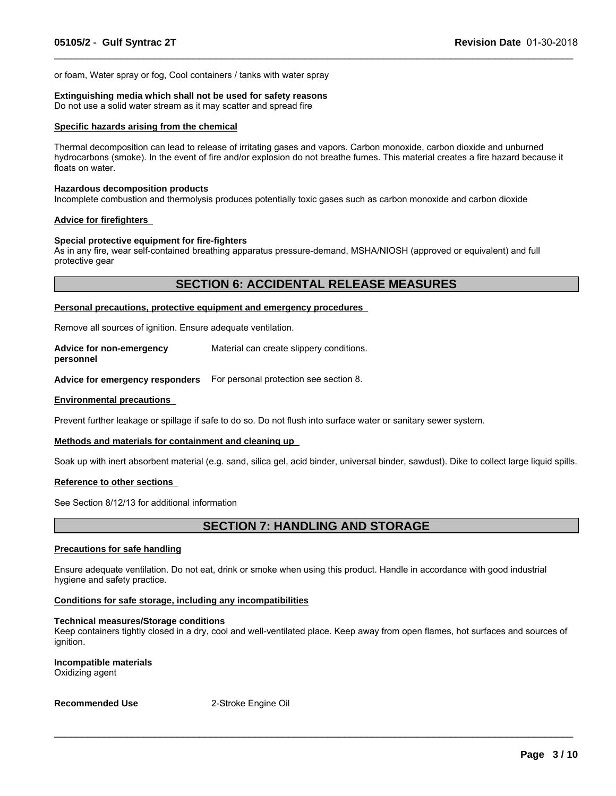or foam, Water spray or fog, Cool containers / tanks with water spray

#### **Extinguishing media which shall not be used for safety reasons**

Do not use a solid water stream as it may scatter and spread fire

#### **Specific hazards arising from the chemical**

Thermal decomposition can lead to release of irritating gases and vapors. Carbon monoxide, carbon dioxide and unburned hydrocarbons (smoke). In the event of fire and/or explosion do not breathe fumes. This material creates a fire hazard because it floats on water.

 $\_$  ,  $\_$  ,  $\_$  ,  $\_$  ,  $\_$  ,  $\_$  ,  $\_$  ,  $\_$  ,  $\_$  ,  $\_$  ,  $\_$  ,  $\_$  ,  $\_$  ,  $\_$  ,  $\_$  ,  $\_$  ,  $\_$  ,  $\_$  ,  $\_$  ,  $\_$  ,  $\_$  ,  $\_$  ,  $\_$  ,  $\_$  ,  $\_$  ,  $\_$  ,  $\_$  ,  $\_$  ,  $\_$  ,  $\_$  ,  $\_$  ,  $\_$  ,  $\_$  ,  $\_$  ,  $\_$  ,  $\_$  ,  $\_$  ,

#### **Hazardous decomposition products**

Incomplete combustion and thermolysis produces potentially toxic gases such as carbon monoxide and carbon dioxide

#### **Advice for firefighters**

#### **Special protective equipment for fire-fighters**

As in any fire, wear self-contained breathing apparatus pressure-demand, MSHA/NIOSH (approved or equivalent) and full protective gear

### **SECTION 6: ACCIDENTAL RELEASE MEASURES**

#### **Personal precautions, protective equipment and emergency procedures**

Remove all sources of ignition. Ensure adequate ventilation.

**Advice for non-emergency personnel** Material can create slippery conditions.

**Advice for emergency responders** For personal protection see section 8.

#### **Environmental precautions**

Prevent further leakage or spillage if safe to do so. Do not flush into surface water or sanitary sewer system.

#### **Methods and materials for containment and cleaning up**

Soak up with inert absorbent material (e.g. sand, silica gel, acid binder, universal binder, sawdust). Dike to collect large liquid spills.

#### **Reference to other sections**

See Section 8/12/13 for additional information

## **SECTION 7: HANDLING AND STORAGE**

#### **Precautions for safe handling**

Ensure adequate ventilation. Do not eat, drink or smoke when using this product. Handle in accordance with good industrial hygiene and safety practice.

#### **Conditions for safe storage, including any incompatibilities**

#### **Technical measures/Storage conditions**

Keep containers tightly closed in a dry, cool and well-ventilated place. Keep away from open flames, hot surfaces and sources of ignition.

 $\_$  ,  $\_$  ,  $\_$  ,  $\_$  ,  $\_$  ,  $\_$  ,  $\_$  ,  $\_$  ,  $\_$  ,  $\_$  ,  $\_$  ,  $\_$  ,  $\_$  ,  $\_$  ,  $\_$  ,  $\_$  ,  $\_$  ,  $\_$  ,  $\_$  ,  $\_$  ,  $\_$  ,  $\_$  ,  $\_$  ,  $\_$  ,  $\_$  ,  $\_$  ,  $\_$  ,  $\_$  ,  $\_$  ,  $\_$  ,  $\_$  ,  $\_$  ,  $\_$  ,  $\_$  ,  $\_$  ,  $\_$  ,  $\_$  ,

**Incompatible materials** Oxidizing agent

#### **Recommended Use** 2-Stroke Engine Oil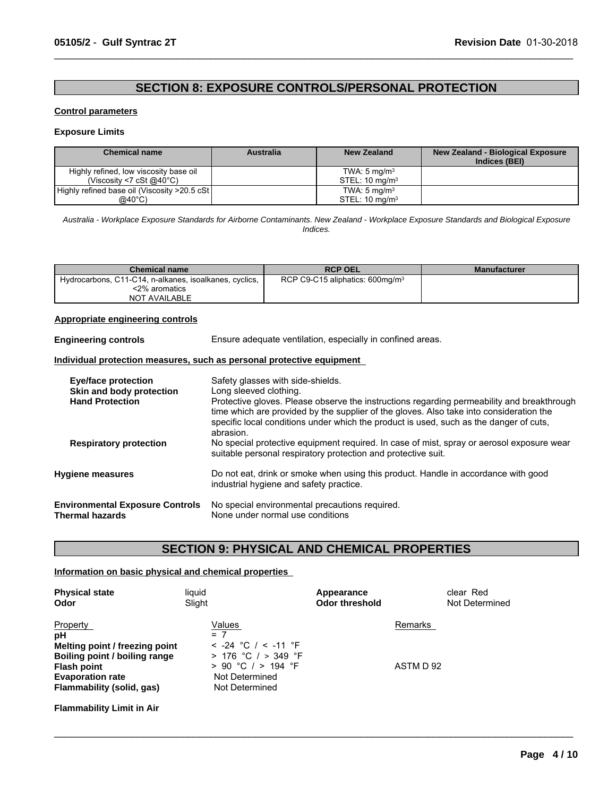# **SECTION 8: EXPOSURE CONTROLS/PERSONAL PROTECTION**

 $\_$  ,  $\_$  ,  $\_$  ,  $\_$  ,  $\_$  ,  $\_$  ,  $\_$  ,  $\_$  ,  $\_$  ,  $\_$  ,  $\_$  ,  $\_$  ,  $\_$  ,  $\_$  ,  $\_$  ,  $\_$  ,  $\_$  ,  $\_$  ,  $\_$  ,  $\_$  ,  $\_$  ,  $\_$  ,  $\_$  ,  $\_$  ,  $\_$  ,  $\_$  ,  $\_$  ,  $\_$  ,  $\_$  ,  $\_$  ,  $\_$  ,  $\_$  ,  $\_$  ,  $\_$  ,  $\_$  ,  $\_$  ,  $\_$  ,

#### **Control parameters**

#### **Exposure Limits**

| <b>Chemical name</b>                          | Australia | New Zealand                  | New Zealand - Biological Exposure<br>Indices (BEI) |
|-----------------------------------------------|-----------|------------------------------|----------------------------------------------------|
| Highly refined, low viscosity base oil        |           | TWA: $5 \text{ mg/m}^3$      |                                                    |
| (Viscosity <7 cSt @40 $^{\circ}$ C)           |           | $STEL: 10$ ma/m <sup>3</sup> |                                                    |
| Highly refined base oil (Viscosity >20.5 cSt) |           | TWA: $5 \text{ mg/m}^3$      |                                                    |
| $@40^{\circ}$ C)                              |           | STEL: $10 \text{ mg/m}^3$    |                                                    |

*Australia - Workplace Exposure Standards for Airborne Contaminants. New Zealand - Workplace Exposure Standards and Biological Exposure Indices.*

| <b>Chemical name</b>                                   | <b>RCP OEL</b>                              | <b>Manufacturer</b> |
|--------------------------------------------------------|---------------------------------------------|---------------------|
| Hydrocarbons, C11-C14, n-alkanes, isoalkanes, cyclics, | RCP C9-C15 aliphatics: 600mg/m <sup>3</sup> |                     |
| <2% aromatics                                          |                                             |                     |
| <b>NOT AVAILABLE</b>                                   |                                             |                     |

#### **Appropriate engineering controls**

| <b>Engineering controls</b> | Ensure adequate ventilation, especially in confined areas. |  |
|-----------------------------|------------------------------------------------------------|--|
|-----------------------------|------------------------------------------------------------|--|

#### **Individual protection measures, such as personal protective equipment**

| Eye/face protection<br>Skin and body protection<br><b>Hand Protection</b> | Safety glasses with side-shields.<br>Long sleeved clothing.<br>Protective gloves. Please observe the instructions regarding permeability and breakthrough<br>time which are provided by the supplier of the gloves. Also take into consideration the<br>specific local conditions under which the product is used, such as the danger of cuts,<br>abrasion. |
|---------------------------------------------------------------------------|-------------------------------------------------------------------------------------------------------------------------------------------------------------------------------------------------------------------------------------------------------------------------------------------------------------------------------------------------------------|
| <b>Respiratory protection</b>                                             | No special protective equipment required. In case of mist, spray or aerosol exposure wear<br>suitable personal respiratory protection and protective suit.                                                                                                                                                                                                  |
| <b>Hygiene measures</b>                                                   | Do not eat, drink or smoke when using this product. Handle in accordance with good<br>industrial hygiene and safety practice.                                                                                                                                                                                                                               |
| <b>Environmental Exposure Controls</b><br>Thermal hazards                 | No special environmental precautions required.<br>None under normal use conditions                                                                                                                                                                                                                                                                          |

# **SECTION 9: PHYSICAL AND CHEMICAL PROPERTIES**

 $\_$  ,  $\_$  ,  $\_$  ,  $\_$  ,  $\_$  ,  $\_$  ,  $\_$  ,  $\_$  ,  $\_$  ,  $\_$  ,  $\_$  ,  $\_$  ,  $\_$  ,  $\_$  ,  $\_$  ,  $\_$  ,  $\_$  ,  $\_$  ,  $\_$  ,  $\_$  ,  $\_$  ,  $\_$  ,  $\_$  ,  $\_$  ,  $\_$  ,  $\_$  ,  $\_$  ,  $\_$  ,  $\_$  ,  $\_$  ,  $\_$  ,  $\_$  ,  $\_$  ,  $\_$  ,  $\_$  ,  $\_$  ,  $\_$  ,

#### **Information on basic physical and chemical properties**

| <b>Physical state</b><br>Odor    | liquid<br>Slight        | Appearance<br><b>Odor threshold</b> | clear Red<br>Not Determined |
|----------------------------------|-------------------------|-------------------------------------|-----------------------------|
| Property                         | Values                  |                                     | Remarks                     |
| рH                               | $= 7$                   |                                     |                             |
| Melting point / freezing point   | $<$ -24 °C / $<$ -11 °F |                                     |                             |
| Boiling point / boiling range    | $> 176$ °C / $> 349$ °F |                                     |                             |
| <b>Flash point</b>               | $> 90$ °C / $> 194$ °F  |                                     | ASTM D 92                   |
| <b>Evaporation rate</b>          | Not Determined          |                                     |                             |
| Flammability (solid, gas)        | Not Determined          |                                     |                             |
| <b>Flammability Limit in Air</b> |                         |                                     |                             |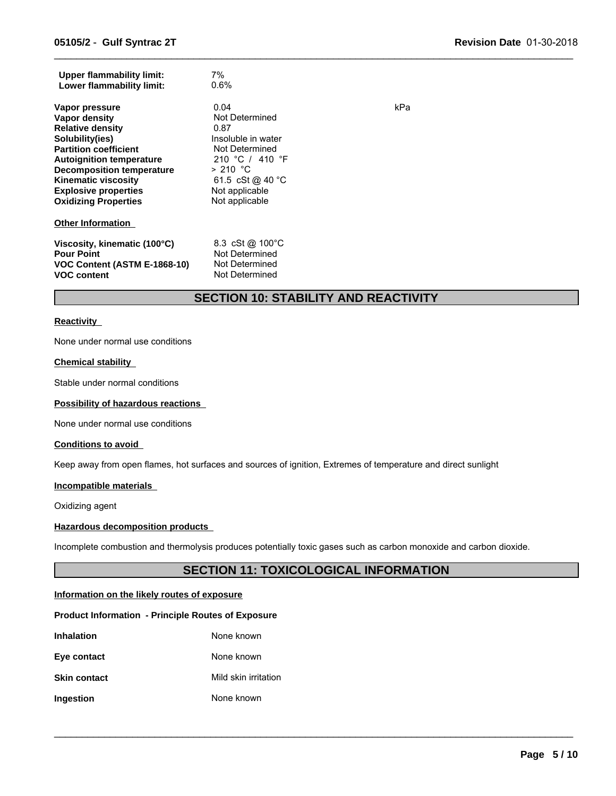| <b>Upper flammability limit:</b><br>Lower flammability limit:                                                                                                                                                                                                                    | 7%<br>0.6%                                                                                                                                                      |     |
|----------------------------------------------------------------------------------------------------------------------------------------------------------------------------------------------------------------------------------------------------------------------------------|-----------------------------------------------------------------------------------------------------------------------------------------------------------------|-----|
| Vapor pressure<br>Vapor density<br><b>Relative density</b><br>Solubility(ies)<br><b>Partition coefficient</b><br><b>Autoignition temperature</b><br><b>Decomposition temperature</b><br><b>Kinematic viscosity</b><br><b>Explosive properties</b><br><b>Oxidizing Properties</b> | 0.04<br>Not Determined<br>0.87<br>Insoluble in water<br>Not Determined<br>210 °C / 410 °F<br>$> 210$ °C<br>61.5 cSt @ 40 °C<br>Not applicable<br>Not applicable | kPa |
| <b>Other Information</b>                                                                                                                                                                                                                                                         |                                                                                                                                                                 |     |
| Viscosity, kinematic (100°C)<br><b>Pour Point</b><br>VOC Content (ASTM E-1868-10)<br><b>VOC content</b>                                                                                                                                                                          | 8.3 cSt @ 100°C<br>Not Determined<br>Not Determined<br>Not Determined                                                                                           |     |

# **SECTION 10: STABILITY AND REACTIVITY**

 $\_$  ,  $\_$  ,  $\_$  ,  $\_$  ,  $\_$  ,  $\_$  ,  $\_$  ,  $\_$  ,  $\_$  ,  $\_$  ,  $\_$  ,  $\_$  ,  $\_$  ,  $\_$  ,  $\_$  ,  $\_$  ,  $\_$  ,  $\_$  ,  $\_$  ,  $\_$  ,  $\_$  ,  $\_$  ,  $\_$  ,  $\_$  ,  $\_$  ,  $\_$  ,  $\_$  ,  $\_$  ,  $\_$  ,  $\_$  ,  $\_$  ,  $\_$  ,  $\_$  ,  $\_$  ,  $\_$  ,  $\_$  ,  $\_$  ,

#### **Reactivity**

None under normal use conditions

#### **Chemical stability**

Stable under normal conditions

#### **Possibility of hazardous reactions**

None under normal use conditions

#### **Conditions to avoid**

Keep away from open flames, hot surfaces and sources of ignition, Extremes of temperature and direct sunlight

#### **Incompatible materials**

Oxidizing agent

#### **Hazardous decomposition products**

Incomplete combustion and thermolysis produces potentially toxic gases such as carbon monoxide and carbon dioxide.

# **SECTION 11: TOXICOLOGICAL INFORMATION**

 $\_$  ,  $\_$  ,  $\_$  ,  $\_$  ,  $\_$  ,  $\_$  ,  $\_$  ,  $\_$  ,  $\_$  ,  $\_$  ,  $\_$  ,  $\_$  ,  $\_$  ,  $\_$  ,  $\_$  ,  $\_$  ,  $\_$  ,  $\_$  ,  $\_$  ,  $\_$  ,  $\_$  ,  $\_$  ,  $\_$  ,  $\_$  ,  $\_$  ,  $\_$  ,  $\_$  ,  $\_$  ,  $\_$  ,  $\_$  ,  $\_$  ,  $\_$  ,  $\_$  ,  $\_$  ,  $\_$  ,  $\_$  ,  $\_$  ,

#### **Information on the likely routes of exposure**

#### **Product Information - Principle Routes of Exposure**

| <b>Inhalation</b>   | None known           |
|---------------------|----------------------|
| Eye contact         | None known           |
| <b>Skin contact</b> | Mild skin irritation |
| Ingestion           | None known           |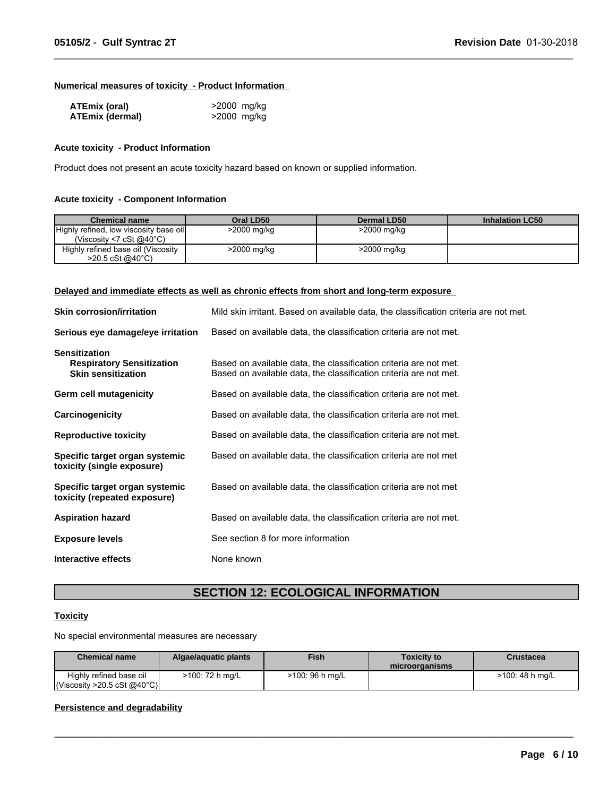#### **Numerical measures of toxicity - Product Information**

| <b>ATEmix (oral)</b>   | >2000 mg/kg |
|------------------------|-------------|
| <b>ATEmix (dermal)</b> | >2000 mg/kg |

#### **Acute toxicity - Product Information**

Product does not present an acute toxicity hazard based on known or supplied information.

#### **Acute toxicity - Component Information**

| <b>Chemical name</b>                                                          | Oral LD50   | Dermal LD50 | <b>Inhalation LC50</b> |
|-------------------------------------------------------------------------------|-------------|-------------|------------------------|
| Highly refined, low viscosity base oil<br>(Viscosity <7 cSt @40 $^{\circ}$ C) | >2000 mg/kg | >2000 mg/kg |                        |
| Highly refined base oil (Viscosity<br>$>20.5 \text{ cSt}$ @ 40 °C)            | >2000 mg/kg | >2000 mg/kg |                        |

 $\_$  ,  $\_$  ,  $\_$  ,  $\_$  ,  $\_$  ,  $\_$  ,  $\_$  ,  $\_$  ,  $\_$  ,  $\_$  ,  $\_$  ,  $\_$  ,  $\_$  ,  $\_$  ,  $\_$  ,  $\_$  ,  $\_$  ,  $\_$  ,  $\_$  ,  $\_$  ,  $\_$  ,  $\_$  ,  $\_$  ,  $\_$  ,  $\_$  ,  $\_$  ,  $\_$  ,  $\_$  ,  $\_$  ,  $\_$  ,  $\_$  ,  $\_$  ,  $\_$  ,  $\_$  ,  $\_$  ,  $\_$  ,  $\_$  ,

#### **Delayed and immediate effects as well as chronic effects from short and long-term exposure**

| <b>Skin corrosion/irritation</b>                                                      | Mild skin irritant. Based on available data, the classification criteria are not met.                                                  |
|---------------------------------------------------------------------------------------|----------------------------------------------------------------------------------------------------------------------------------------|
| Serious eye damage/eye irritation                                                     | Based on available data, the classification criteria are not met.                                                                      |
| <b>Sensitization</b><br><b>Respiratory Sensitization</b><br><b>Skin sensitization</b> | Based on available data, the classification criteria are not met.<br>Based on available data, the classification criteria are not met. |
| Germ cell mutagenicity                                                                | Based on available data, the classification criteria are not met.                                                                      |
| Carcinogenicity                                                                       | Based on available data, the classification criteria are not met.                                                                      |
| <b>Reproductive toxicity</b>                                                          | Based on available data, the classification criteria are not met.                                                                      |
| Specific target organ systemic<br>toxicity (single exposure)                          | Based on available data, the classification criteria are not met                                                                       |
| Specific target organ systemic<br>toxicity (repeated exposure)                        | Based on available data, the classification criteria are not met                                                                       |
| <b>Aspiration hazard</b>                                                              | Based on available data, the classification criteria are not met.                                                                      |
| <b>Exposure levels</b>                                                                | See section 8 for more information                                                                                                     |
| Interactive effects                                                                   | None known                                                                                                                             |

# **SECTION 12: ECOLOGICAL INFORMATION**

#### **Toxicity**

No special environmental measures are necessary

| <b>Chemical name</b>                                   | Algae/aguatic plants | <b>Fish</b>     | Toxicitv to<br>microorganisms | Crustacea       |
|--------------------------------------------------------|----------------------|-----------------|-------------------------------|-----------------|
| Highly refined base oil<br> Viscosity > 20.5 cSt @40°C | >100: 72 h mg/L      | >100: 96 h mg/L |                               | >100: 48 h ma/L |

 $\_$  , and the contribution of the contribution of the contribution of the contribution of the contribution of  $\mathcal{L}_\text{max}$ 

### **Persistence and degradability**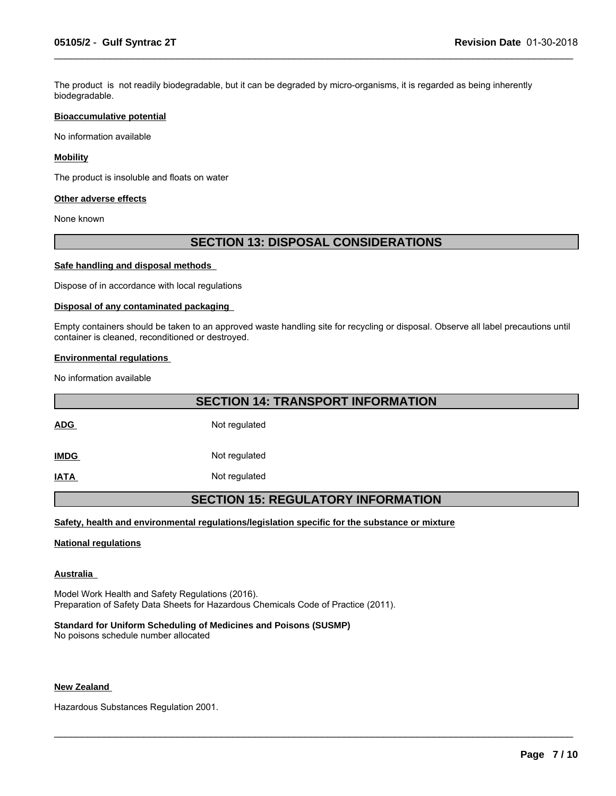The product is not readily biodegradable, but it can be degraded by micro-organisms, it is regarded as being inherently biodegradable.

 $\_$  ,  $\_$  ,  $\_$  ,  $\_$  ,  $\_$  ,  $\_$  ,  $\_$  ,  $\_$  ,  $\_$  ,  $\_$  ,  $\_$  ,  $\_$  ,  $\_$  ,  $\_$  ,  $\_$  ,  $\_$  ,  $\_$  ,  $\_$  ,  $\_$  ,  $\_$  ,  $\_$  ,  $\_$  ,  $\_$  ,  $\_$  ,  $\_$  ,  $\_$  ,  $\_$  ,  $\_$  ,  $\_$  ,  $\_$  ,  $\_$  ,  $\_$  ,  $\_$  ,  $\_$  ,  $\_$  ,  $\_$  ,  $\_$  ,

#### **Bioaccumulative potential**

No information available

#### **Mobility**

The product is insoluble and floats on water

#### **Other adverse effects**

None known

### **SECTION 13: DISPOSAL CONSIDERATIONS**

#### **Safe handling and disposal methods**

Dispose of in accordance with local regulations

#### **Disposal of any contaminated packaging**

Empty containers should be taken to an approved waste handling site for recycling or disposal. Observe all label precautions until container is cleaned, reconditioned or destroyed.

#### **Environmental regulations**

No information available

### **SECTION 14: TRANSPORT INFORMATION**

ADG Not requiated

**IMDG** Not regulated

**IATA** Not regulated

### **SECTION 15: REGULATORY INFORMATION**

 $\_$  ,  $\_$  ,  $\_$  ,  $\_$  ,  $\_$  ,  $\_$  ,  $\_$  ,  $\_$  ,  $\_$  ,  $\_$  ,  $\_$  ,  $\_$  ,  $\_$  ,  $\_$  ,  $\_$  ,  $\_$  ,  $\_$  ,  $\_$  ,  $\_$  ,  $\_$  ,  $\_$  ,  $\_$  ,  $\_$  ,  $\_$  ,  $\_$  ,  $\_$  ,  $\_$  ,  $\_$  ,  $\_$  ,  $\_$  ,  $\_$  ,  $\_$  ,  $\_$  ,  $\_$  ,  $\_$  ,  $\_$  ,  $\_$  ,

#### **Safety, health and environmental regulations/legislation specific for the substance or mixture**

#### **National regulations**

#### **Australia**

Model Work Health and Safety Regulations (2016). Preparation of Safety Data Sheets for Hazardous Chemicals Code of Practice (2011).

**Standard for Uniform Scheduling of Medicines and Poisons (SUSMP)** No poisons schedule number allocated

#### **New Zealand**

Hazardous Substances Regulation 2001.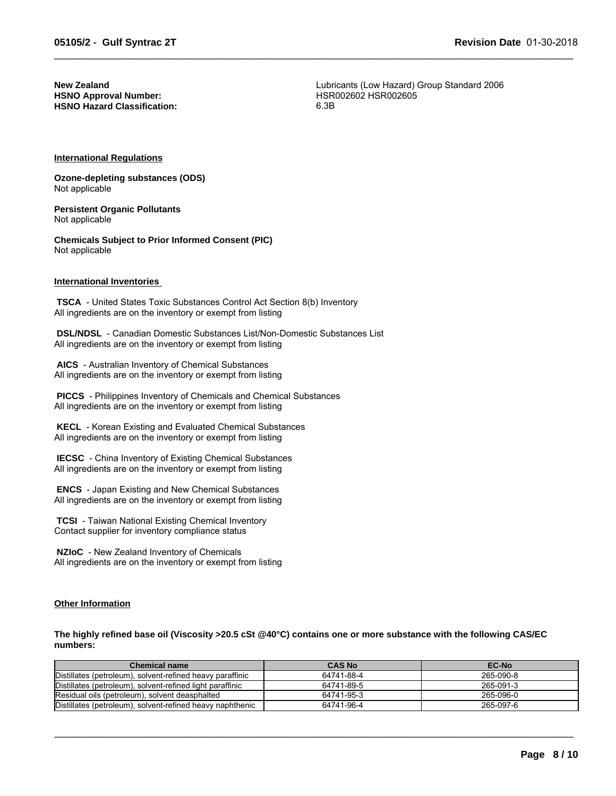**HSNO Approval Number: HSNO Hazard Classification:** 6.3B

**New Zealand**<br> **HSNO Approval Number:**<br>
HSR002602 HSR002605

 $\_$  ,  $\_$  ,  $\_$  ,  $\_$  ,  $\_$  ,  $\_$  ,  $\_$  ,  $\_$  ,  $\_$  ,  $\_$  ,  $\_$  ,  $\_$  ,  $\_$  ,  $\_$  ,  $\_$  ,  $\_$  ,  $\_$  ,  $\_$  ,  $\_$  ,  $\_$  ,  $\_$  ,  $\_$  ,  $\_$  ,  $\_$  ,  $\_$  ,  $\_$  ,  $\_$  ,  $\_$  ,  $\_$  ,  $\_$  ,  $\_$  ,  $\_$  ,  $\_$  ,  $\_$  ,  $\_$  ,  $\_$  ,  $\_$  ,

#### **International Regulations**

**Ozone-depleting substances (ODS)** Not applicable

**Persistent Organic Pollutants** Not applicable

**Chemicals Subject to Prior Informed Consent (PIC)** Not applicable

#### **International Inventories**

 **TSCA** - United States Toxic Substances Control Act Section 8(b) Inventory All ingredients are on the inventory or exempt from listing

 **DSL/NDSL** - Canadian Domestic Substances List/Non-Domestic Substances List All ingredients are on the inventory or exempt from listing

 **AICS** - Australian Inventory of Chemical Substances All ingredients are on the inventory or exempt from listing

 **PICCS** - Philippines Inventory of Chemicals and Chemical Substances All ingredients are on the inventory or exempt from listing

 **KECL** - Korean Existing and Evaluated Chemical Substances All ingredients are on the inventory or exempt from listing

 **IECSC** - China Inventory of Existing Chemical Substances All ingredients are on the inventory or exempt from listing

 **ENCS** - Japan Existing and New Chemical Substances All ingredients are on the inventory or exempt from listing

 **TCSI** - Taiwan National Existing Chemical Inventory Contact supplier for inventory compliance status

 **NZIoC** - New Zealand Inventory of Chemicals All ingredients are on the inventory or exempt from listing

#### **Other Information**

**The highly refined base oil (Viscosity >20.5 cSt @40°C) contains one or more substance with the following CAS/EC numbers:**

| <b>Chemical name</b>                                      | <b>CAS No</b> | EC-No     |
|-----------------------------------------------------------|---------------|-----------|
| Distillates (petroleum), solvent-refined heavy paraffinic | 64741-88-4    | 265-090-8 |
| Distillates (petroleum), solvent-refined light paraffinic | 64741-89-5    | 265-091-3 |
| Residual oils (petroleum), solvent deasphalted            | 64741-95-3    | 265-096-0 |
| Distillates (petroleum), solvent-refined heavy naphthenic | 64741-96-4    | 265-097-6 |

 $\_$  ,  $\_$  ,  $\_$  ,  $\_$  ,  $\_$  ,  $\_$  ,  $\_$  ,  $\_$  ,  $\_$  ,  $\_$  ,  $\_$  ,  $\_$  ,  $\_$  ,  $\_$  ,  $\_$  ,  $\_$  ,  $\_$  ,  $\_$  ,  $\_$  ,  $\_$  ,  $\_$  ,  $\_$  ,  $\_$  ,  $\_$  ,  $\_$  ,  $\_$  ,  $\_$  ,  $\_$  ,  $\_$  ,  $\_$  ,  $\_$  ,  $\_$  ,  $\_$  ,  $\_$  ,  $\_$  ,  $\_$  ,  $\_$  ,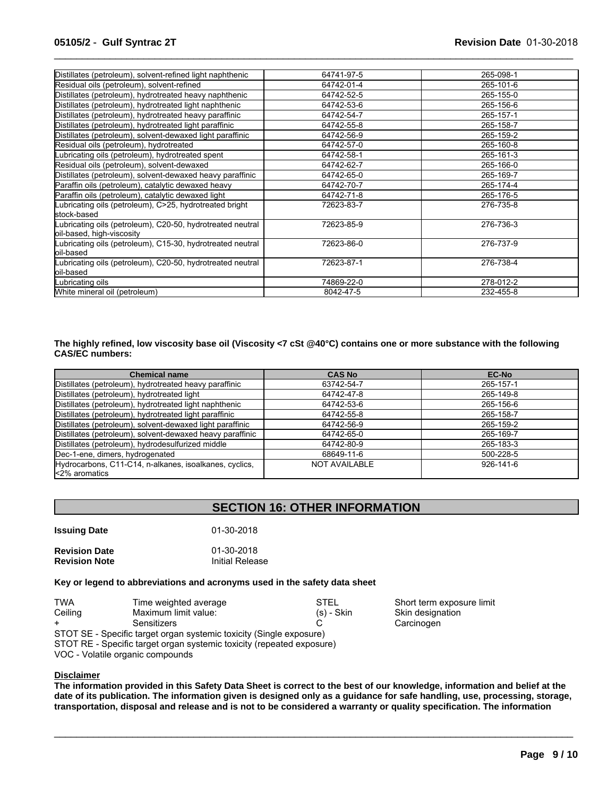| 64741-97-5 | 265-098-1 |
|------------|-----------|
| 64742-01-4 | 265-101-6 |
| 64742-52-5 | 265-155-0 |
| 64742-53-6 | 265-156-6 |
| 64742-54-7 | 265-157-1 |
| 64742-55-8 | 265-158-7 |
| 64742-56-9 | 265-159-2 |
| 64742-57-0 | 265-160-8 |
| 64742-58-1 | 265-161-3 |
| 64742-62-7 | 265-166-0 |
| 64742-65-0 | 265-169-7 |
| 64742-70-7 | 265-174-4 |
| 64742-71-8 | 265-176-5 |
| 72623-83-7 | 276-735-8 |
| 72623-85-9 | 276-736-3 |
| 72623-86-0 | 276-737-9 |
| 72623-87-1 | 276-738-4 |
| 74869-22-0 | 278-012-2 |
| 8042-47-5  | 232-455-8 |
|            |           |

 $\_$  ,  $\_$  ,  $\_$  ,  $\_$  ,  $\_$  ,  $\_$  ,  $\_$  ,  $\_$  ,  $\_$  ,  $\_$  ,  $\_$  ,  $\_$  ,  $\_$  ,  $\_$  ,  $\_$  ,  $\_$  ,  $\_$  ,  $\_$  ,  $\_$  ,  $\_$  ,  $\_$  ,  $\_$  ,  $\_$  ,  $\_$  ,  $\_$  ,  $\_$  ,  $\_$  ,  $\_$  ,  $\_$  ,  $\_$  ,  $\_$  ,  $\_$  ,  $\_$  ,  $\_$  ,  $\_$  ,  $\_$  ,  $\_$  ,

#### **The highly refined, low viscosity base oil (Viscosity <7 cSt @40°C) contains one or more substance with the following CAS/EC numbers:**

| <b>Chemical name</b>                                                    | <b>CAS No</b> | <b>EC-No</b>    |
|-------------------------------------------------------------------------|---------------|-----------------|
| Distillates (petroleum), hydrotreated heavy paraffinic                  | 63742-54-7    | 265-157-1       |
| Distillates (petroleum), hydrotreated light                             | 64742-47-8    | 265-149-8       |
| Distillates (petroleum), hydrotreated light naphthenic                  | 64742-53-6    | 265-156-6       |
| Distillates (petroleum), hydrotreated light paraffinic                  | 64742-55-8    | 265-158-7       |
| Distillates (petroleum), solvent-dewaxed light paraffinic               | 64742-56-9    | 265-159-2       |
| Distillates (petroleum), solvent-dewaxed heavy paraffinic               | 64742-65-0    | 265-169-7       |
| Distillates (petroleum), hydrodesulfurized middle                       | 64742-80-9    | 265-183-3       |
| Dec-1-ene, dimers, hydrogenated                                         | 68649-11-6    | 500-228-5       |
| Hydrocarbons, C11-C14, n-alkanes, isoalkanes, cyclics,<br>k2% aromatics | NOT AVAILABLE | $926 - 141 - 6$ |

## **SECTION 16: OTHER INFORMATION**

| <b>Issuing Date</b>  | 01-30-2018      |
|----------------------|-----------------|
| <b>Revision Date</b> | 01-30-2018      |
| <b>Revision Note</b> | Initial Release |

#### **Key or legend to abbreviations and acronyms used in the safety data sheet**

| TWA                                                                 | Time weighted average | <b>STEL</b>  | Short term exposure limit |  |
|---------------------------------------------------------------------|-----------------------|--------------|---------------------------|--|
| Ceiling                                                             | Maximum limit value:  | $(s)$ - Skin | Skin designation          |  |
|                                                                     | Sensitizers           |              | Carcinogen                |  |
| STOT SE - Specific target organ systemic tovicity (Single exposure) |                       |              |                           |  |

STOT SE - Specific target organ systemic toxicity (Single exposure) STOT RE - Specific target organ systemic toxicity (repeated exposure)

VOC - Volatile organic compounds

#### **Disclaimer**

**The information provided in this Safety Data Sheet is correct to the best of our knowledge, information and belief at the date of its publication. The information given is designed only as a guidance for safe handling, use, processing, storage, transportation, disposal and release and is not to be considered a warranty or quality specification. The information**

 $\_$  ,  $\_$  ,  $\_$  ,  $\_$  ,  $\_$  ,  $\_$  ,  $\_$  ,  $\_$  ,  $\_$  ,  $\_$  ,  $\_$  ,  $\_$  ,  $\_$  ,  $\_$  ,  $\_$  ,  $\_$  ,  $\_$  ,  $\_$  ,  $\_$  ,  $\_$  ,  $\_$  ,  $\_$  ,  $\_$  ,  $\_$  ,  $\_$  ,  $\_$  ,  $\_$  ,  $\_$  ,  $\_$  ,  $\_$  ,  $\_$  ,  $\_$  ,  $\_$  ,  $\_$  ,  $\_$  ,  $\_$  ,  $\_$  ,